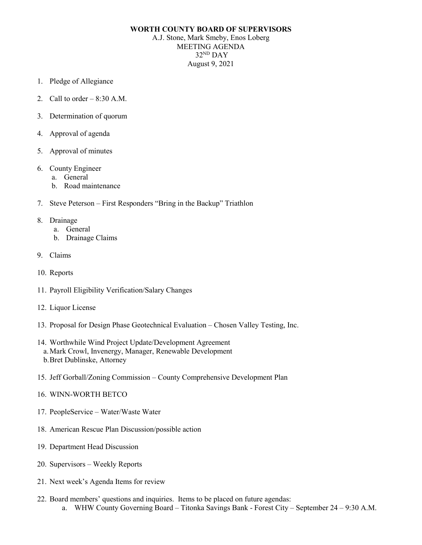## **WORTH COUNTY BOARD OF SUPERVISORS**

A.J. Stone, Mark Smeby, Enos Loberg MEETING AGENDA 32ND DAY August 9, 2021

- 1. Pledge of Allegiance
- 2. Call to order  $-8:30$  A.M.
- 3. Determination of quorum
- 4. Approval of agenda
- 5. Approval of minutes
- 6. County Engineer
	- a. General
	- b. Road maintenance
- 7. Steve Peterson First Responders "Bring in the Backup" Triathlon
- 8. Drainage
	- a. General
	- b. Drainage Claims
- 9. Claims
- 10. Reports
- 11. Payroll Eligibility Verification/Salary Changes
- 12. Liquor License
- 13. Proposal for Design Phase Geotechnical Evaluation Chosen Valley Testing, Inc.
- 14. Worthwhile Wind Project Update/Development Agreement a.Mark Crowl, Invenergy, Manager, Renewable Development b.Bret Dublinske, Attorney
- 15. Jeff Gorball/Zoning Commission County Comprehensive Development Plan
- 16. WINN-WORTH BETCO
- 17. PeopleService Water/Waste Water
- 18. American Rescue Plan Discussion/possible action
- 19. Department Head Discussion
- 20. Supervisors Weekly Reports
- 21. Next week's Agenda Items for review
- 22. Board members' questions and inquiries. Items to be placed on future agendas: a. WHW County Governing Board – Titonka Savings Bank - Forest City – September 24 – 9:30 A.M.